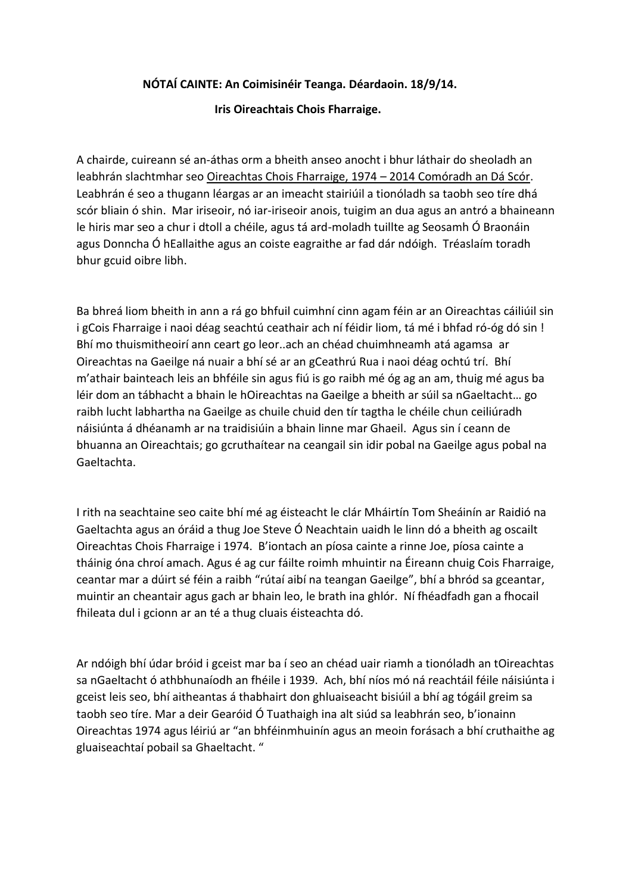## **NÓTAÍ CAINTE: An Coimisinéir Teanga. Déardaoin. 18/9/14.**

## **Iris Oireachtais Chois Fharraige.**

A chairde, cuireann sé an-áthas orm a bheith anseo anocht i bhur láthair do sheoladh an leabhrán slachtmhar seo Oireachtas Chois Fharraige, 1974 – 2014 Comóradh an Dá Scór. Leabhrán é seo a thugann léargas ar an imeacht stairiúil a tionóladh sa taobh seo tíre dhá scór bliain ó shin. Mar iriseoir, nó iar-iriseoir anois, tuigim an dua agus an antró a bhaineann le hiris mar seo a chur i dtoll a chéile, agus tá ard-moladh tuillte ag Seosamh Ó Braonáin agus Donncha Ó hEallaithe agus an coiste eagraithe ar fad dár ndóigh. Tréaslaím toradh bhur gcuid oibre libh.

Ba bhreá liom bheith in ann a rá go bhfuil cuimhní cinn agam féin ar an Oireachtas cáiliúil sin i gCois Fharraige i naoi déag seachtú ceathair ach ní féidir liom, tá mé i bhfad ró-óg dó sin ! Bhí mo thuismitheoirí ann ceart go leor..ach an chéad chuimhneamh atá agamsa ar Oireachtas na Gaeilge ná nuair a bhí sé ar an gCeathrú Rua i naoi déag ochtú trí. Bhí m'athair bainteach leis an bhféile sin agus fiú is go raibh mé óg ag an am, thuig mé agus ba léir dom an tábhacht a bhain le hOireachtas na Gaeilge a bheith ar súil sa nGaeltacht… go raibh lucht labhartha na Gaeilge as chuile chuid den tír tagtha le chéile chun ceiliúradh náisiúnta á dhéanamh ar na traidisiúin a bhain linne mar Ghaeil. Agus sin í ceann de bhuanna an Oireachtais; go gcruthaítear na ceangail sin idir pobal na Gaeilge agus pobal na Gaeltachta.

I rith na seachtaine seo caite bhí mé ag éisteacht le clár Mháirtín Tom Sheáinín ar Raidió na Gaeltachta agus an óráid a thug Joe Steve Ó Neachtain uaidh le linn dó a bheith ag oscailt Oireachtas Chois Fharraige i 1974. B'iontach an píosa cainte a rinne Joe, píosa cainte a tháinig óna chroí amach. Agus é ag cur fáilte roimh mhuintir na Éireann chuig Cois Fharraige, ceantar mar a dúirt sé féin a raibh "rútaí aibí na teangan Gaeilge", bhí a bhród sa gceantar, muintir an cheantair agus gach ar bhain leo, le brath ina ghlór. Ní fhéadfadh gan a fhocail fhileata dul i gcionn ar an té a thug cluais éisteachta dó.

Ar ndóigh bhí údar bróid i gceist mar ba í seo an chéad uair riamh a tionóladh an tOireachtas sa nGaeltacht ó athbhunaíodh an fhéile i 1939. Ach, bhí níos mó ná reachtáil féile náisiúnta i gceist leis seo, bhí aitheantas á thabhairt don ghluaiseacht bisiúil a bhí ag tógáil greim sa taobh seo tíre. Mar a deir Gearóid Ó Tuathaigh ina alt siúd sa leabhrán seo, b'ionainn Oireachtas 1974 agus léiriú ar "an bhféinmhuinín agus an meoin forásach a bhí cruthaithe ag gluaiseachtaí pobail sa Ghaeltacht. "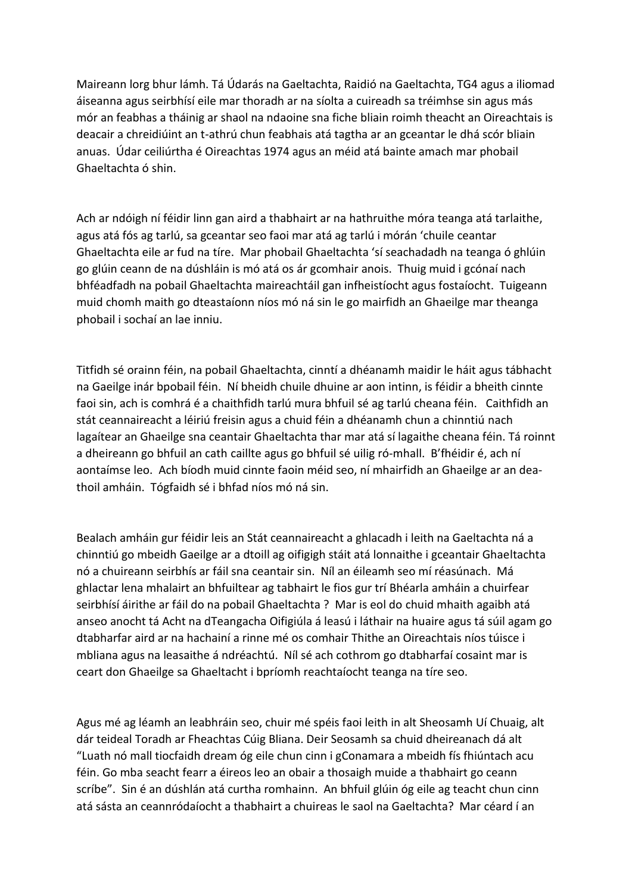Maireann lorg bhur lámh. Tá Údarás na Gaeltachta, Raidió na Gaeltachta, TG4 agus a iliomad áiseanna agus seirbhísí eile mar thoradh ar na síolta a cuireadh sa tréimhse sin agus más mór an feabhas a tháinig ar shaol na ndaoine sna fiche bliain roimh theacht an Oireachtais is deacair a chreidiúint an t-athrú chun feabhais atá tagtha ar an gceantar le dhá scór bliain anuas. Údar ceiliúrtha é Oireachtas 1974 agus an méid atá bainte amach mar phobail Ghaeltachta ó shin.

Ach ar ndóigh ní féidir linn gan aird a thabhairt ar na hathruithe móra teanga atá tarlaithe, agus atá fós ag tarlú, sa gceantar seo faoi mar atá ag tarlú i mórán 'chuile ceantar Ghaeltachta eile ar fud na tíre. Mar phobail Ghaeltachta 'sí seachadadh na teanga ó ghlúin go glúin ceann de na dúshláin is mó atá os ár gcomhair anois. Thuig muid i gcónaí nach bhféadfadh na pobail Ghaeltachta maireachtáil gan infheistíocht agus fostaíocht. Tuigeann muid chomh maith go dteastaíonn níos mó ná sin le go mairfidh an Ghaeilge mar theanga phobail i sochaí an lae inniu.

Titfidh sé orainn féin, na pobail Ghaeltachta, cinntí a dhéanamh maidir le háit agus tábhacht na Gaeilge inár bpobail féin. Ní bheidh chuile dhuine ar aon intinn, is féidir a bheith cinnte faoi sin, ach is comhrá é a chaithfidh tarlú mura bhfuil sé ag tarlú cheana féin. Caithfidh an stát ceannaireacht a léiriú freisin agus a chuid féin a dhéanamh chun a chinntiú nach lagaítear an Ghaeilge sna ceantair Ghaeltachta thar mar atá sí lagaithe cheana féin. Tá roinnt a dheireann go bhfuil an cath caillte agus go bhfuil sé uilig ró-mhall. B'fhéidir é, ach ní aontaímse leo. Ach bíodh muid cinnte faoin méid seo, ní mhairfidh an Ghaeilge ar an deathoil amháin. Tógfaidh sé i bhfad níos mó ná sin.

Bealach amháin gur féidir leis an Stát ceannaireacht a ghlacadh i leith na Gaeltachta ná a chinntiú go mbeidh Gaeilge ar a dtoill ag oifigigh stáit atá lonnaithe i gceantair Ghaeltachta nó a chuireann seirbhís ar fáil sna ceantair sin. Níl an éileamh seo mí réasúnach. Má ghlactar lena mhalairt an bhfuiltear ag tabhairt le fios gur trí Bhéarla amháin a chuirfear seirbhísí áirithe ar fáil do na pobail Ghaeltachta ? Mar is eol do chuid mhaith agaibh atá anseo anocht tá Acht na dTeangacha Oifigiúla á leasú i láthair na huaire agus tá súil agam go dtabharfar aird ar na hachainí a rinne mé os comhair Thithe an Oireachtais níos túisce i mbliana agus na leasaithe á ndréachtú. Níl sé ach cothrom go dtabharfaí cosaint mar is ceart don Ghaeilge sa Ghaeltacht i bpríomh reachtaíocht teanga na tíre seo.

Agus mé ag léamh an leabhráin seo, chuir mé spéis faoi leith in alt Sheosamh Uí Chuaig, alt dár teideal Toradh ar Fheachtas Cúig Bliana. Deir Seosamh sa chuid dheireanach dá alt "Luath nó mall tiocfaidh dream óg eile chun cinn i gConamara a mbeidh fís fhiúntach acu féin. Go mba seacht fearr a éireos leo an obair a thosaigh muide a thabhairt go ceann scríbe". Sin é an dúshlán atá curtha romhainn. An bhfuil glúin óg eile ag teacht chun cinn atá sásta an ceannródaíocht a thabhairt a chuireas le saol na Gaeltachta? Mar céard í an